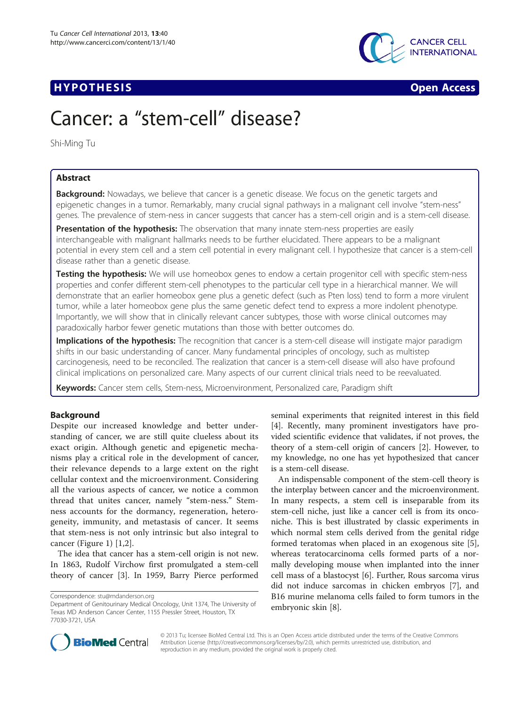# **HYPOTHESIS CONSUMING A SIGNAL CONSUMING A SIGNAL CONSUMING A SIGNAL CONSUMING A SIGNAL CONSUMING A SIGNAL CONSUMING A SIGNAL CONSUMING A SIGNAL CONSUMING A SIGNAL CONSUMING A SIGNAL CONSUMING A SIGNAL CONSUMING A SIGNAL**



# Cancer: a "stem-cell" disease?

Shi-Ming Tu

# Abstract

Background: Nowadays, we believe that cancer is a genetic disease. We focus on the genetic targets and epigenetic changes in a tumor. Remarkably, many crucial signal pathways in a malignant cell involve "stem-ness" genes. The prevalence of stem-ness in cancer suggests that cancer has a stem-cell origin and is a stem-cell disease.

Presentation of the hypothesis: The observation that many innate stem-ness properties are easily interchangeable with malignant hallmarks needs to be further elucidated. There appears to be a malignant potential in every stem cell and a stem cell potential in every malignant cell. I hypothesize that cancer is a stem-cell disease rather than a genetic disease.

Testing the hypothesis: We will use homeobox genes to endow a certain progenitor cell with specific stem-ness properties and confer different stem-cell phenotypes to the particular cell type in a hierarchical manner. We will demonstrate that an earlier homeobox gene plus a genetic defect (such as Pten loss) tend to form a more virulent tumor, while a later homeobox gene plus the same genetic defect tend to express a more indolent phenotype. Importantly, we will show that in clinically relevant cancer subtypes, those with worse clinical outcomes may paradoxically harbor fewer genetic mutations than those with better outcomes do.

Implications of the hypothesis: The recognition that cancer is a stem-cell disease will instigate major paradigm shifts in our basic understanding of cancer. Many fundamental principles of oncology, such as multistep carcinogenesis, need to be reconciled. The realization that cancer is a stem-cell disease will also have profound clinical implications on personalized care. Many aspects of our current clinical trials need to be reevaluated.

Keywords: Cancer stem cells, Stem-ness, Microenvironment, Personalized care, Paradigm shift

# Background

Despite our increased knowledge and better understanding of cancer, we are still quite clueless about its exact origin. Although genetic and epigenetic mechanisms play a critical role in the development of cancer, their relevance depends to a large extent on the right cellular context and the microenvironment. Considering all the various aspects of cancer, we notice a common thread that unites cancer, namely "stem-ness." Stemness accounts for the dormancy, regeneration, heterogeneity, immunity, and metastasis of cancer. It seems that stem-ness is not only intrinsic but also integral to cancer (Figure [1\)](#page-1-0) [[1,2](#page-3-0)].

The idea that cancer has a stem-cell origin is not new. In 1863, Rudolf Virchow first promulgated a stem-cell theory of cancer [\[3](#page-3-0)]. In 1959, Barry Pierce performed

seminal experiments that reignited interest in this field [[4\]](#page-3-0). Recently, many prominent investigators have provided scientific evidence that validates, if not proves, the theory of a stem-cell origin of cancers [[2\]](#page-3-0). However, to my knowledge, no one has yet hypothesized that cancer is a stem-cell disease.

An indispensable component of the stem-cell theory is the interplay between cancer and the microenvironment. In many respects, a stem cell is inseparable from its stem-cell niche, just like a cancer cell is from its onconiche. This is best illustrated by classic experiments in which normal stem cells derived from the genital ridge formed teratomas when placed in an exogenous site [\[5](#page-3-0)], whereas teratocarcinoma cells formed parts of a normally developing mouse when implanted into the inner cell mass of a blastocyst [[6\]](#page-3-0). Further, Rous sarcoma virus did not induce sarcomas in chicken embryos [\[7](#page-3-0)], and B16 murine melanoma cells failed to form tumors in the embryonic skin [[8\]](#page-3-0).



© 2013 Tu; licensee BioMed Central Ltd. This is an Open Access article distributed under the terms of the Creative Commons Attribution License (<http://creativecommons.org/licenses/by/2.0>), which permits unrestricted use, distribution, and reproduction in any medium, provided the original work is properly cited.

Correspondence: [stu@mdanderson.org](mailto:stu@mdanderson.org)

Department of Genitourinary Medical Oncology, Unit 1374, The University of Texas MD Anderson Cancer Center, 1155 Pressler Street, Houston, TX 77030-3721, USA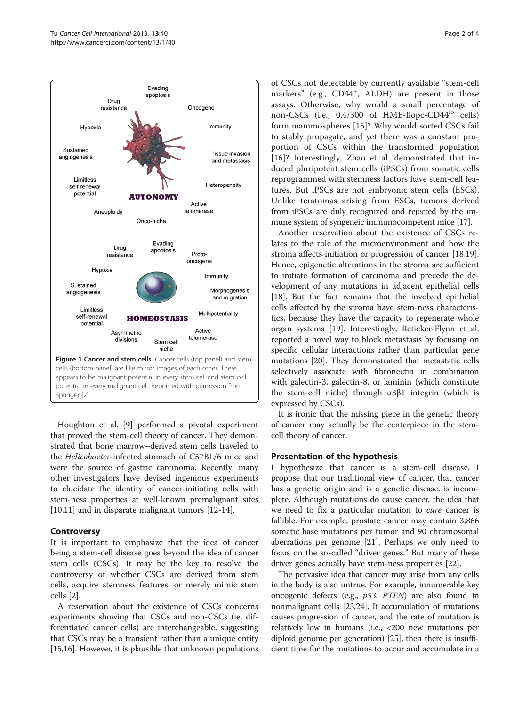<span id="page-1-0"></span>

Houghton et al. [\[9](#page-3-0)] performed a pivotal experiment that proved the stem-cell theory of cancer. They demonstrated that bone marrow–derived stem cells traveled to the Helicobacter-infected stomach of C57BL/6 mice and were the source of gastric carcinoma. Recently, many other investigators have devised ingenious experiments to elucidate the identity of cancer-initiating cells with stem-ness properties at well-known premalignant sites [[10,11\]](#page-3-0) and in disparate malignant tumors [[12](#page-3-0)-[14\]](#page-3-0).

### Controversy

It is important to emphasize that the idea of cancer being a stem-cell disease goes beyond the idea of cancer stem cells (CSCs). It may be the key to resolve the controversy of whether CSCs are derived from stem cells, acquire stemness features, or merely mimic stem cells [[2](#page-3-0)].

A reservation about the existence of CSCs concerns experiments showing that CSCs and non-CSCs (ie, differentiated cancer cells) are interchangeable, suggesting that CSCs may be a transient rather than a unique entity [[15,16](#page-3-0)]. However, it is plausible that unknown populations of CSCs not detectable by currently available "stem-cell markers" (e.g., CD44<sup>+</sup>, ALDH) are present in those assays. Otherwise, why would a small percentage of non-CSCs (i.e.,  $0.4/300$  of HME-flopc-CD44<sup>lo</sup> cells) form mammospheres [[15\]](#page-3-0)? Why would sorted CSCs fail to stably propagate, and yet there was a constant proportion of CSCs within the transformed population [[16\]](#page-3-0)? Interestingly, Zhao et al. demonstrated that induced pluripotent stem cells (iPSCs) from somatic cells reprogrammed with stemness factors have stem-cell features. But iPSCs are not embryonic stem cells (ESCs). Unlike teratomas arising from ESCs, tumors derived from iPSCs are duly recognized and rejected by the immune system of syngeneic immunocompetent mice [\[17\]](#page-3-0).

Another reservation about the existence of CSCs relates to the role of the microenvironment and how the stroma affects initiation or progression of cancer [\[18,19](#page-3-0)]. Hence, epigenetic alterations in the stroma are sufficient to initiate formation of carcinoma and precede the development of any mutations in adjacent epithelial cells [[18\]](#page-3-0). But the fact remains that the involved epithelial cells affected by the stroma have stem-ness characteristics, because they have the capacity to regenerate whole organ systems [\[19\]](#page-3-0). Interestingly, Reticker-Flynn et al. reported a novel way to block metastasis by focusing on specific cellular interactions rather than particular gene mutations [[20\]](#page-3-0). They demonstrated that metastatic cells selectively associate with fibronectin in combination with galectin-3, galectin-8, or laminin (which constitute the stem-cell niche) through α3β1 integrin (which is expressed by CSCs).

It is ironic that the missing piece in the genetic theory of cancer may actually be the centerpiece in the stemcell theory of cancer.

# Presentation of the hypothesis

I hypothesize that cancer is a stem-cell disease. I propose that our traditional view of cancer, that cancer has a genetic origin and is a genetic disease, is incomplete. Although mutations do cause cancer, the idea that we need to fix a particular mutation to *cure* cancer is fallible. For example, prostate cancer may contain 3,866 somatic base mutations per tumor and 90 chromosomal aberrations per genome [\[21](#page-3-0)]. Perhaps we only need to focus on the so-called "driver genes." But many of these driver genes actually have stem-ness properties [[22](#page-3-0)].

The pervasive idea that cancer may arise from any cells in the body is also untrue. For example, innumerable key oncogenic defects (e.g., p53, PTEN) are also found in nonmalignant cells [\[23,24\]](#page-3-0). If accumulation of mutations causes progression of cancer, and the rate of mutation is relatively low in humans (i.e., <200 new mutations per diploid genome per generation) [\[25\]](#page-3-0), then there is insufficient time for the mutations to occur and accumulate in a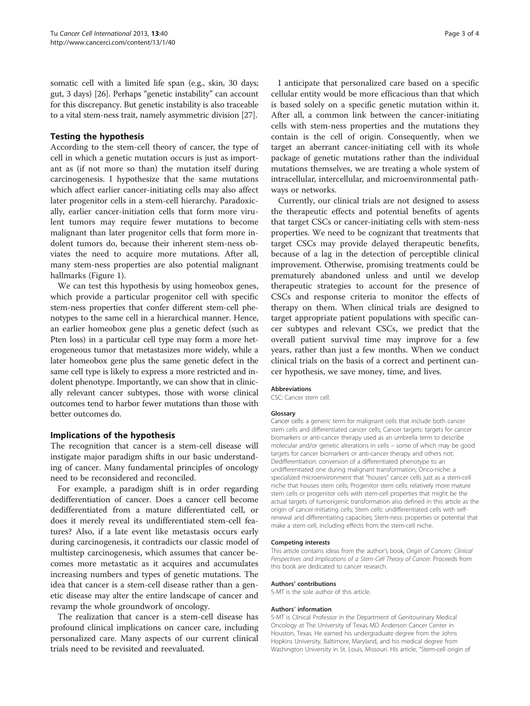somatic cell with a limited life span (e.g., skin, 30 days; gut, 3 days) [\[26\]](#page-3-0). Perhaps "genetic instability" can account for this discrepancy. But genetic instability is also traceable to a vital stem-ness trait, namely asymmetric division [\[27](#page-3-0)].

# Testing the hypothesis

According to the stem-cell theory of cancer, the type of cell in which a genetic mutation occurs is just as important as (if not more so than) the mutation itself during carcinogenesis. I hypothesize that the same mutations which affect earlier cancer-initiating cells may also affect later progenitor cells in a stem-cell hierarchy. Paradoxically, earlier cancer-initiation cells that form more virulent tumors may require fewer mutations to become malignant than later progenitor cells that form more indolent tumors do, because their inherent stem-ness obviates the need to acquire more mutations. After all, many stem-ness properties are also potential malignant hallmarks (Figure [1](#page-1-0)).

We can test this hypothesis by using homeobox genes, which provide a particular progenitor cell with specific stem-ness properties that confer different stem-cell phenotypes to the same cell in a hierarchical manner. Hence, an earlier homeobox gene plus a genetic defect (such as Pten loss) in a particular cell type may form a more heterogeneous tumor that metastasizes more widely, while a later homeobox gene plus the same genetic defect in the same cell type is likely to express a more restricted and indolent phenotype. Importantly, we can show that in clinically relevant cancer subtypes, those with worse clinical outcomes tend to harbor fewer mutations than those with better outcomes do.

# Implications of the hypothesis

The recognition that cancer is a stem-cell disease will instigate major paradigm shifts in our basic understanding of cancer. Many fundamental principles of oncology need to be reconsidered and reconciled.

For example, a paradigm shift is in order regarding dedifferentiation of cancer. Does a cancer cell become dedifferentiated from a mature differentiated cell, or does it merely reveal its undifferentiated stem-cell features? Also, if a late event like metastasis occurs early during carcinogenesis, it contradicts our classic model of multistep carcinogenesis, which assumes that cancer becomes more metastatic as it acquires and accumulates increasing numbers and types of genetic mutations. The idea that cancer is a stem-cell disease rather than a genetic disease may alter the entire landscape of cancer and revamp the whole groundwork of oncology.

The realization that cancer is a stem-cell disease has profound clinical implications on cancer care, including personalized care. Many aspects of our current clinical trials need to be revisited and reevaluated.

I anticipate that personalized care based on a specific cellular entity would be more efficacious than that which is based solely on a specific genetic mutation within it. After all, a common link between the cancer-initiating cells with stem-ness properties and the mutations they contain is the cell of origin. Consequently, when we target an aberrant cancer-initiating cell with its whole package of genetic mutations rather than the individual mutations themselves, we are treating a whole system of intracellular, intercellular, and microenvironmental pathways or networks.

Currently, our clinical trials are not designed to assess the therapeutic effects and potential benefits of agents that target CSCs or cancer-initiating cells with stem-ness properties. We need to be cognizant that treatments that target CSCs may provide delayed therapeutic benefits, because of a lag in the detection of perceptible clinical improvement. Otherwise, promising treatments could be prematurely abandoned unless and until we develop therapeutic strategies to account for the presence of CSCs and response criteria to monitor the effects of therapy on them. When clinical trials are designed to target appropriate patient populations with specific cancer subtypes and relevant CSCs, we predict that the overall patient survival time may improve for a few years, rather than just a few months. When we conduct clinical trials on the basis of a correct and pertinent cancer hypothesis, we save money, time, and lives.

#### **Abbreviations**

CSC: Cancer stem cell.

#### Glossary

Cancer cells: a generic term for malignant cells that include both cancer stem cells and differentiated cancer cells; Cancer targets: targets for cancer biomarkers or anti-cancer therapy used as an umbrella term to describe molecular and/or genetic alterations in cells – some of which may be good targets for cancer biomarkers or anti-cancer therapy and others not; Dedifferentiation: conversion of a differentiated phenotype to an undifferentiated one during malignant transformation; Onco-niche: a specialized microenvironment that "houses" cancer cells just as a stem-cell niche that houses stem cells; Progenitor stem cells: relatively more mature stem cells or progenitor cells with stem-cell properties that might be the actual targets of tumorigenic transformation also defined in this article as the origin of cancer-initiating cells; Stem cells: undifferentiated cells with selfrenewal and differentiating capacities; Stem-ness: properties or potential that make a stem cell, including effects from the stem-cell niche.

#### Competing interests

This article contains ideas from the author's book, Origin of Cancers: Clinical Perspectives and Implications of a Stem-Cell Theory of Cancer. Proceeds from this book are dedicated to cancer research.

#### Authors' contributions

S-MT is the sole author of this article.

#### Authors' information

S-MT is Clinical Professor in the Department of Genitourinary Medical Oncology at The University of Texas MD Anderson Cancer Center in Houston, Texas. He earned his undergraduate degree from the Johns Hopkins University, Baltimore, Maryland, and his medical degree from Washington University in St. Louis, Missouri. His article, "Stem-cell origin of